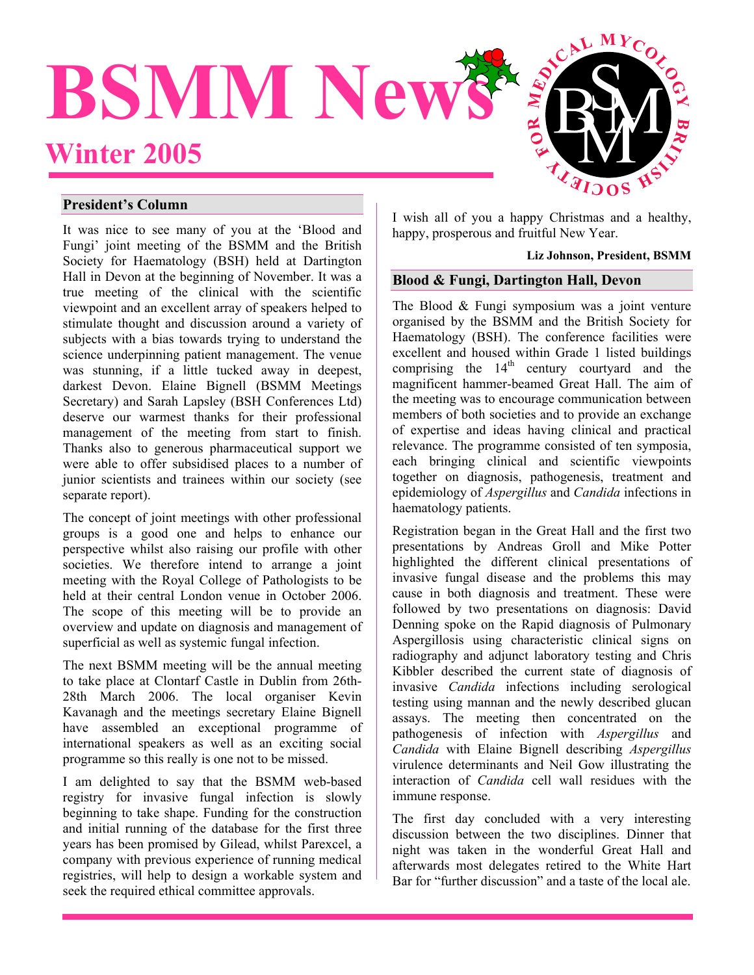

## **President's Column**

It was nice to see many of you at the 'Blood and Fungi' joint meeting of the BSMM and the British Society for Haematology (BSH) held at Dartington Hall in Devon at the beginning of November. It was a true meeting of the clinical with the scientific viewpoint and an excellent array of speakers helped to stimulate thought and discussion around a variety of subjects with a bias towards trying to understand the science underpinning patient management. The venue was stunning, if a little tucked away in deepest, darkest Devon. Elaine Bignell (BSMM Meetings Secretary) and Sarah Lapsley (BSH Conferences Ltd) deserve our warmest thanks for their professional management of the meeting from start to finish. Thanks also to generous pharmaceutical support we were able to offer subsidised places to a number of junior scientists and trainees within our society (see separate report).

The concept of joint meetings with other professional groups is a good one and helps to enhance our perspective whilst also raising our profile with other societies. We therefore intend to arrange a joint meeting with the Royal College of Pathologists to be held at their central London venue in October 2006. The scope of this meeting will be to provide an overview and update on diagnosis and management of superficial as well as systemic fungal infection.

The next BSMM meeting will be the annual meeting to take place at Clontarf Castle in Dublin from 26th-28th March 2006. The local organiser Kevin Kavanagh and the meetings secretary Elaine Bignell have assembled an exceptional programme of international speakers as well as an exciting social programme so this really is one not to be missed.

I am delighted to say that the BSMM web-based registry for invasive fungal infection is slowly beginning to take shape. Funding for the construction and initial running of the database for the first three years has been promised by Gilead, whilst Parexcel, a company with previous experience of running medical registries, will help to design a workable system and seek the required ethical committee approvals.

I wish all of you a happy Christmas and a healthy, happy, prosperous and fruitful New Year.

#### **Liz Johnson, President, BSMM**

# **Blood & Fungi, Dartington Hall, Devon**

The Blood & Fungi symposium was a joint venture organised by the BSMM and the British Society for Haematology (BSH). The conference facilities were excellent and housed within Grade 1 listed buildings comprising the  $14<sup>th</sup>$  century courtyard and the magnificent hammer-beamed Great Hall. The aim of the meeting was to encourage communication between members of both societies and to provide an exchange of expertise and ideas having clinical and practical relevance. The programme consisted of ten symposia, each bringing clinical and scientific viewpoints together on diagnosis, pathogenesis, treatment and epidemiology of *Aspergillus* and *Candida* infections in haematology patients.

Registration began in the Great Hall and the first two presentations by Andreas Groll and Mike Potter highlighted the different clinical presentations of invasive fungal disease and the problems this may cause in both diagnosis and treatment. These were followed by two presentations on diagnosis: David Denning spoke on the Rapid diagnosis of Pulmonary Aspergillosis using characteristic clinical signs on radiography and adjunct laboratory testing and Chris Kibbler described the current state of diagnosis of invasive *Candida* infections including serological testing using mannan and the newly described glucan assays. The meeting then concentrated on the pathogenesis of infection with *Aspergillus* and *Candida* with Elaine Bignell describing *Aspergillus* virulence determinants and Neil Gow illustrating the interaction of *Candida* cell wall residues with the immune response.

The first day concluded with a very interesting discussion between the two disciplines. Dinner that night was taken in the wonderful Great Hall and afterwards most delegates retired to the White Hart Bar for "further discussion" and a taste of the local ale.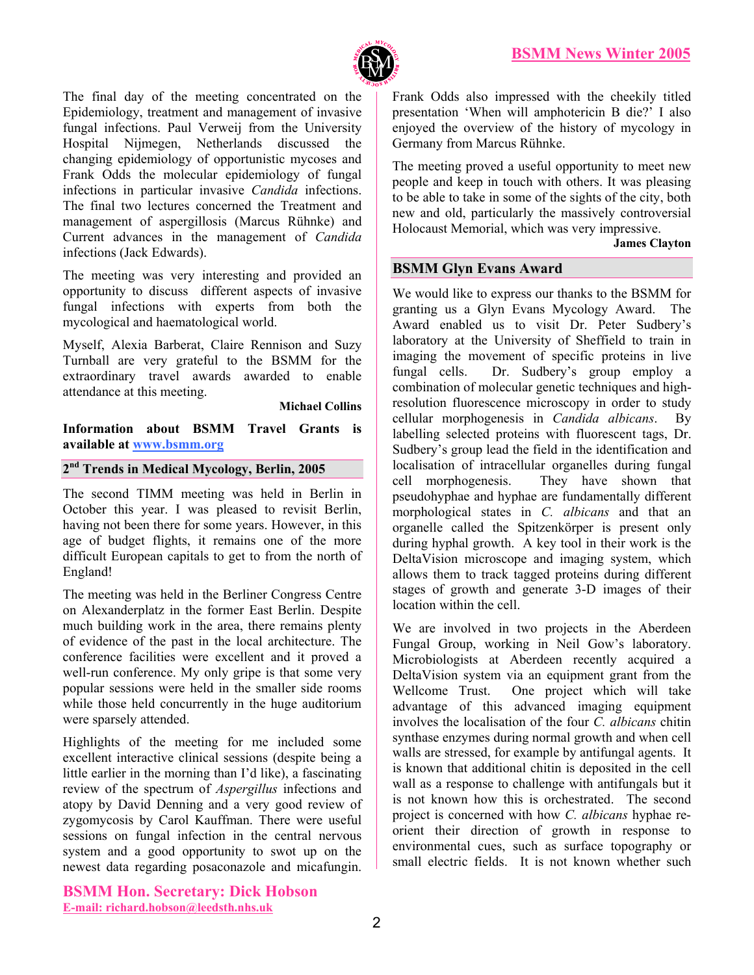

The final day of the meeting concentrated on the Epidemiology, treatment and management of invasive fungal infections. Paul Verweij from the University Hospital Nijmegen, Netherlands discussed the changing epidemiology of opportunistic mycoses and Frank Odds the molecular epidemiology of fungal infections in particular invasive *Candida* infections. The final two lectures concerned the Treatment and management of aspergillosis (Marcus Rühnke) and Current advances in the management of *Candida* infections (Jack Edwards).

The meeting was very interesting and provided an opportunity to discuss different aspects of invasive fungal infections with experts from both the mycological and haematological world.

Myself, Alexia Barberat, Claire Rennison and Suzy Turnball are very grateful to the BSMM for the extraordinary travel awards awarded to enable attendance at this meeting.

**Michael Collins** 

**Information about BSMM Travel Grants is available at www.bsmm.org**

## **2nd Trends in Medical Mycology, Berlin, 2005**

The second TIMM meeting was held in Berlin in October this year. I was pleased to revisit Berlin, having not been there for some years. However, in this age of budget flights, it remains one of the more difficult European capitals to get to from the north of England!

The meeting was held in the Berliner Congress Centre on Alexanderplatz in the former East Berlin. Despite much building work in the area, there remains plenty of evidence of the past in the local architecture. The conference facilities were excellent and it proved a well-run conference. My only gripe is that some very popular sessions were held in the smaller side rooms while those held concurrently in the huge auditorium were sparsely attended.

Highlights of the meeting for me included some excellent interactive clinical sessions (despite being a little earlier in the morning than I'd like), a fascinating review of the spectrum of *Aspergillus* infections and atopy by David Denning and a very good review of zygomycosis by Carol Kauffman. There were useful sessions on fungal infection in the central nervous system and a good opportunity to swot up on the newest data regarding posaconazole and micafungin.

**BSMM Hon. Secretary: Dick Hobson E-mail: richard.hobson@leedsth.nhs.uk**

Frank Odds also impressed with the cheekily titled presentation 'When will amphotericin B die?' I also enjoyed the overview of the history of mycology in Germany from Marcus Rühnke.

The meeting proved a useful opportunity to meet new people and keep in touch with others. It was pleasing to be able to take in some of the sights of the city, both new and old, particularly the massively controversial Holocaust Memorial, which was very impressive.

**James [Clayton](mailto:James.clayton@leedsth.nhs.uk)**

# **BSMM Glyn Evans Award**

We would like to express our thanks to the BSMM for granting us a Glyn Evans Mycology Award. The Award enabled us to visit Dr. Peter Sudbery's laboratory at the University of Sheffield to train in imaging the movement of specific proteins in live fungal cells. Dr. Sudbery's group employ a combination of molecular genetic techniques and highresolution fluorescence microscopy in order to study cellular morphogenesis in *Candida albicans*. By labelling selected proteins with fluorescent tags, Dr. Sudbery's group lead the field in the identification and localisation of intracellular organelles during fungal cell morphogenesis. They have shown that pseudohyphae and hyphae are fundamentally different morphological states in *C. albicans* and that an organelle called the Spitzenkörper is present only during hyphal growth. A key tool in their work is the DeltaVision microscope and imaging system, which allows them to track tagged proteins during different stages of growth and generate 3-D images of their location within the cell.

We are involved in two projects in the Aberdeen Fungal Group, working in Neil Gow's laboratory. Microbiologists at Aberdeen recently acquired a DeltaVision system via an equipment grant from the Wellcome Trust. One project which will take advantage of this advanced imaging equipment involves the localisation of the four *C. albicans* chitin synthase enzymes during normal growth and when cell walls are stressed, for example by antifungal agents. It is known that additional chitin is deposited in the cell wall as a response to challenge with antifungals but it is not known how this is orchestrated. The second project is concerned with how *C. albicans* hyphae reorient their direction of growth in response to environmental cues, such as surface topography or small electric fields. It is not known whether such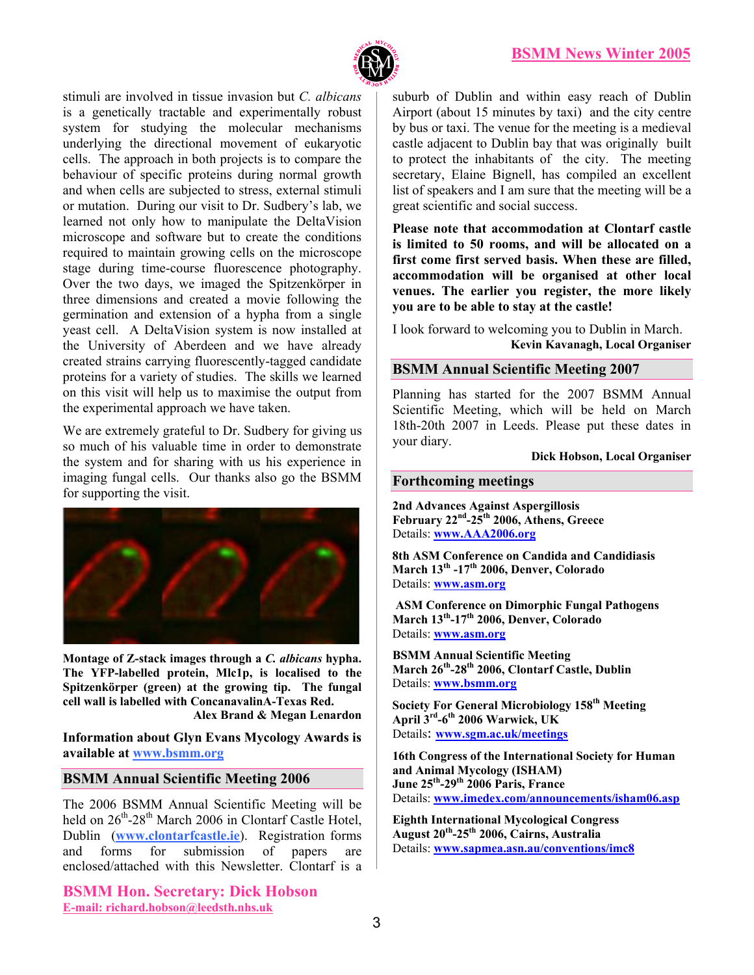

stimuli are involved in tissue invasion but *C. albicans* is a genetically tractable and experimentally robust system for studying the molecular mechanisms underlying the directional movement of eukaryotic cells. The approach in both projects is to compare the behaviour of specific proteins during normal growth and when cells are subjected to stress, external stimuli or mutation. During our visit to Dr. Sudbery's lab, we learned not only how to manipulate the DeltaVision microscope and software but to create the conditions required to maintain growing cells on the microscope stage during time-course fluorescence photography. Over the two days, we imaged the Spitzenkörper in three dimensions and created a movie following the germination and extension of a hypha from a single yeast cell. A DeltaVision system is now installed at the University of Aberdeen and we have already created strains carrying fluorescently-tagged candidate proteins for a variety of studies. The skills we learned on this visit will help us to maximise the output from the experimental approach we have taken.

We are extremely grateful to Dr. Sudbery for giving us so much of his valuable time in order to demonstrate the system and for sharing with us his experience in imaging fungal cells. Our thanks also go the BSMM for supporting the visit.



**Montage of Z-stack images through a** *C. albicans* **hypha. The YFP-labelled protein, Mlc1p, is localised to the Spitzenkörper (green) at the growing tip. The fungal cell wall is labelled with ConcanavalinA-Texas Red. Alex Brand & Megan Lenardon** 

**Information about Glyn Evans Mycology Awards is available at www.bsmm.org**

# **BSMM Annual Scientific Meeting 2006**

The 2006 BSMM Annual Scientific Meeting will be held on  $26^{th}$ -28<sup>th</sup> March 2006 in Clontarf Castle Hotel, Dublin (**www.clontarfcastle.ie**). Registration forms and forms for submission of papers are enclosed/attached with this Newsletter. Clontarf is a

**BSMM Hon. Secretary: Dick Hobson E-mail: richard.hobson@leedsth.nhs.uk**

suburb of Dublin and within easy reach of Dublin Airport (about 15 minutes by taxi) and the city centre by bus or taxi. The venue for the meeting is a medieval castle adjacent to Dublin bay that was originally built to protect the inhabitants of the city. The meeting secretary, Elaine Bignell, has compiled an excellent list of speakers and I am sure that the meeting will be a great scientific and social success.

**Please note that accommodation at Clontarf castle is limited to 50 rooms, and will be allocated on a first come first served basis. When these are filled, accommodation will be organised at other local venues. The earlier you register, the more likely you are to be able to stay at the castle!** 

I look forward to welcoming you to Dublin in March. **Kevin Kavanagh, Local Organiser** 

## **BSMM Annual Scientific Meeting 2007**

Planning has started for the 2007 BSMM Annual Scientific Meeting, which will be held on March 18th-20th 2007 in Leeds. Please put these dates in your diary.

#### **Dick Hobson, Local Organiser**

# **Forthcoming meetings**

**2nd Advances Against Aspergillosis February 22nd-25th 2006, Athens, Greece**  Details: **[www.AAA2006.org](http://www.aaa2006.org/)**

**8th ASM Conference on Candida and Candidiasis March 13th -17th 2006, Denver, Colorado** Details: **[www.asm.org](http://www.asm.org/)**

**ASM Conference on Dimorphic Fungal Pathogens March 13th-17th 2006, Denver, Colorado** Details: **[www.asm.org](http://www.asm.org/)**

**BSMM Annual Scientific Meeting March 26th-28th 2006, Clontarf Castle, Dublin**  Details: **[www.bsmm.org](http://www.bsmm.org/)**

**Society For General Microbiology 158th Meeting April 3rd-6th 2006 Warwick, UK** Details: **[www.sgm.ac.uk/meetings](http://www.sgm.ac.uk/meetings)**

**16th Congress of the International Society for Human and Animal Mycology (ISHAM) June 25th-29th 2006 Paris, France**  Details: **[www.imedex.com/announcements/isham06.asp](http://www.imedex.com/announcements/isham06.asp)**

**Eighth International Mycological Congress August 20th-25th 2006, Cairns, Australia** Details: **[www.sapmea.asn.au/conventions/imc8](http://www.sapmea.asn.au/conventions/imc8)**